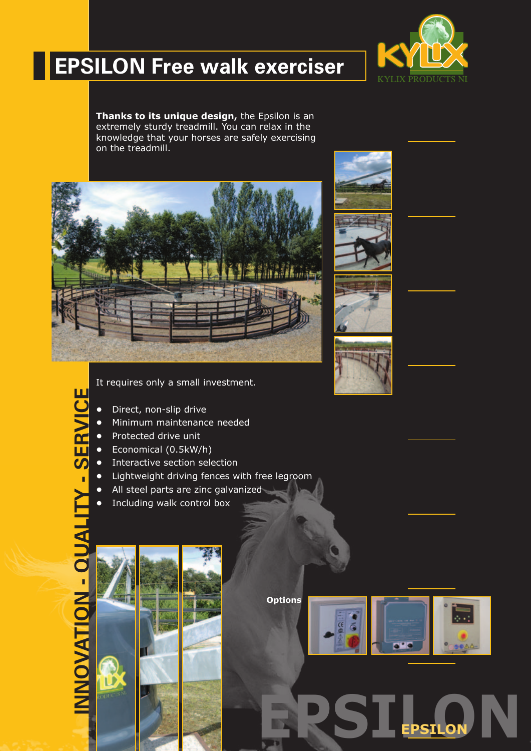

# **EPSILON Free walk exerciser**

**Thanks to its unique design,** the Epsilon is an extremely sturdy treadmill. You can relax in the knowledge that your horses are safely exercising on the treadmill.



It requires only a small investment.

- **•** Direct, non-slip drive
- **•** Minimum maintenance needed
- **•** Protected drive unit
- **•** Economical (0.5kW/h)
- **•** Interactive section selection
- **•** Lightweight driving fences with free legroom
- **•** All steel parts are zinc galvanized
- **•** Including walk control box

Ш

**Options**



 $EPSI_{\tiny{\textbf{ESLON}}}$ N

**EPSILON**